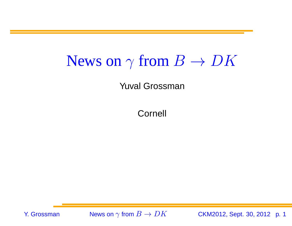#### News on $\mathbf{n} \gamma$  from  $B \to D K$

Yuval Grossman

Cornell

Y. Grossman

n  $\gamma$  from  $B\to$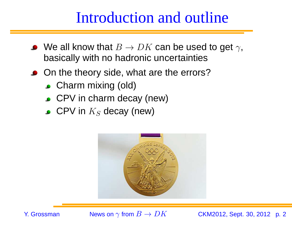#### Introduction and outline

- We all know that  $B\to DK$  can be used to get  $\gamma,$  hasically with no hadronic uncertainties basically with no hadronic uncertainties
- On the theory side, what are the errors?
	- **Charm mixing (old)**
	- CPV in charm decay (new)
	- CPV in  $K_S$  decay (new)



Y. Grossman

 $\gamma$  from  $B\to$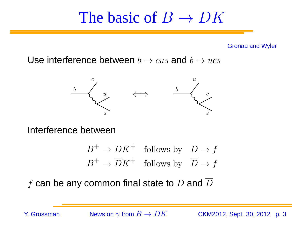# The basic of  $B \to DK$

Gronau and Wyler

Use interference between  $b\to c\bar{u}s$  and  $b\to u\bar{c}s$ 



Interference between

$$
B^+ \to DK^+ \quad \text{follows by} \quad D \to f
$$
  

$$
B^+ \to \overline{D}K^+ \quad \text{follows by} \quad \overline{D} \to f
$$

 $f$  can be any common final state to  $D$  and  $D$ 

Y. Grossman

n  $\gamma$  from  $B\to$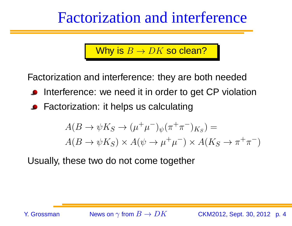#### Factorization and interference

# Why is  $B\to DK$  so clean?

Factorization and interference: they are both needed

- Interference: we need it in order to get CP violation
- Factorization: it helps us calculating

$$
A(B \to \psi K_S \to (\mu^+ \mu^-)_{\psi} (\pi^+ \pi^-)_{K_S}) =
$$
  
 
$$
A(B \to \psi K_S) \times A(\psi \to \mu^+ \mu^-) \times A(K_S \to \pi^+ \pi^-)
$$

Usually, these two do not come together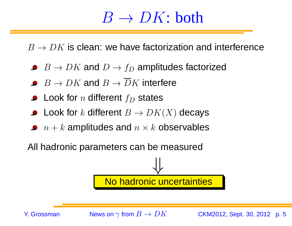# $\frac{B \rightarrow DK: \text{both}}{B}$

 $B \to D K$  is clean: we have factorization and interference

- $B \to DK$  and  $D \to f_D$  amplitudes factorized
- $B \to DK$  and  $B \to DK$  interfere
- Look for  $n$  different  $f_D$  states
- Look for  $k$  different  $B \to DK(X)$  decays
- $n+k$  amplitudes and  $n\times k$  observables

All hadronic parameters can be measured



Y. Grossman

n  $\gamma$  from  $B\to$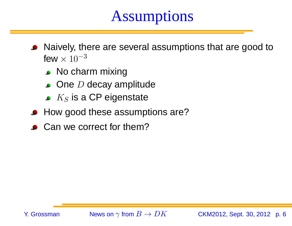# **Assumptions**

- Naively, there are several assumptions that are good tofew  $\times$   $10^{-3}$ 
	- No charm mixing
	- One *D* decay amplitude
	- $K_S$  is a CP eigenstate
- How good these assumptions are?
- Can we correct for them?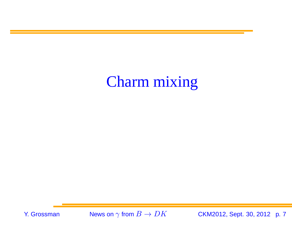# Charm mixing

Y. Grossman

n  $\gamma$  from  $B\to$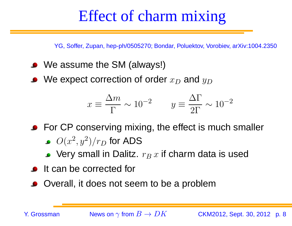### Effect of charm mixing

YG, Soffer, Zupan, hep-ph/0505270; Bondar, Poluektov, Vorobiev, arXiv:1004.2350

- We assume the SM (always!)
- We expect correction of order  $x_D$  $_D$  and  $y_D$

$$
x \equiv \frac{\Delta m}{\Gamma} \sim 10^{-2} \qquad y \equiv \frac{\Delta \Gamma}{2\Gamma} \sim 10^{-2}
$$

• For CP conserving mixing, the effect is much smaller

- $O(x$ 2 $, y<sup>2</sup>$ 2 $^2)/r_D$  $_D$  for ADS  $\,$
- Very small in Dalitz.  $r_{B}\,x$  if charm data is used
- **It can be corrected for**
- Overall, it does not seem to be <sup>a</sup> problem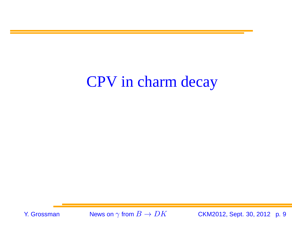## CPV in charm decay

Y. Grossman

 $\gamma$  from  $B\to$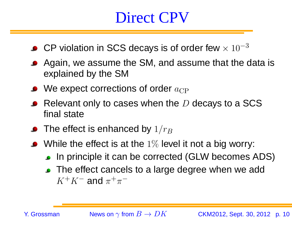#### Direct CPV

- CP violation in SCS decays is of order few  $\times$   $10^{-3}$
- Again, we assume the SM, and assume that the data is explained by the SM
- We expect corrections of order  $a_{\rm CP}$
- Relevant only to cases when the  $D$  decays to a SCS<br>final state final state
- The effect is enhanced by  $1/r_{B}$
- While the effect is at the  $1\%$  level it not a big worry:
	- **In principle it can be corrected (GLW becomes ADS)**
	- The effect cancels to a large degree when we add  $K^+K^-$  and  $\pi^+\pi^-$

Y. Grossman

n  $\gamma$  from  $B\to$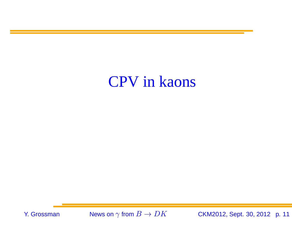#### CPV in kaons

Y. Grossman

n  $\gamma$  from  $B\to$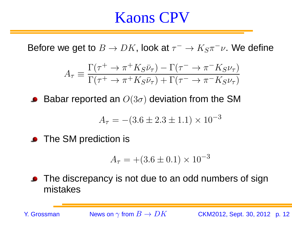#### Kaons CPV

Before we get to  $B \to DK$ , look at  $\tau^-\to K_S\pi^-\nu$ . We define

$$
A_{\tau} \equiv \frac{\Gamma(\tau^+ \to \pi^+ K_S \bar{\nu}_{\tau}) - \Gamma(\tau^- \to \pi^- K_S \nu_{\tau})}{\Gamma(\tau^+ \to \pi^+ K_S \bar{\nu}_{\tau}) + \Gamma(\tau^- \to \pi^- K_S \nu_{\tau})}
$$

Babar reported an  $O(3\sigma)$  deviation from the SM

$$
A_{\tau} = -(3.6 \pm 2.3 \pm 1.1) \times 10^{-3}
$$

**•** The SM prediction is

$$
A_{\tau} = +(3.6 \pm 0.1) \times 10^{-3}
$$

The discrepancy is not due to an odd numbers of signmistakes

Y. Grossman

n  $\gamma$  from  $B\to$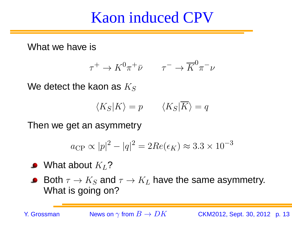#### Kaon induced CPV

What we have is

$$
\tau^+ \to K^0 \pi^+ \bar{\nu} \qquad \tau^- \to \overline{K}^0 \pi^- \nu
$$

We detect the kaon as  $K_S$ 

$$
\langle K_S | K \rangle = p \qquad \langle K_S | \overline{K} \rangle = q
$$

Then we get an asymmetry

$$
a_{\rm CP} \propto |p|^2 - |q|^2 = 2Re(\epsilon_K) \approx 3.3 \times 10^{-3}
$$

What about  $K_L$ ?

Both  $\tau\to K_S$  and  $\tau\to K_L$  have the same asymmetry.<br>What is sairs an? **Contract Advised Street** What is going on?

Y. Grossman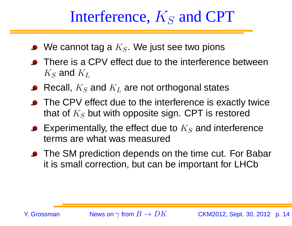# Interference,  $K_S$  and CPT

- We cannot tag a  $K_S.$  We just see two pions
- There is <sup>a</sup> CPV effect due to the interference between $K_S$  and  $K_L$
- Recall,  $K_S$  and  $K_L$  are not orthogonal states
- The CPV effect due to the interference is exactly twice that of  $K_S$  but with opposite sign. CPT is restored
- Experimentally, the effect due to  $K_S$  and interference terms are what was measured
- The SM prediction depends on the time cut. For Babar it is small correction, but can be important for LHCb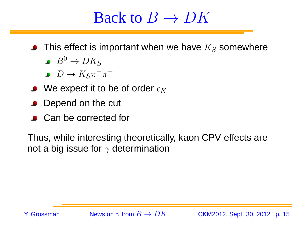# Back to  $B \to D K$

- This effect is important when we have  $K_S$  somewhere
	- $B^0 \rightarrow D K_S \ \overline{D} \rightarrow K_S +$
	- $D \rightarrow$
- $\bullet\;\; D\to K_S\pi^+\pi^- \ \blacksquare$ We expect it to be of order  $\epsilon_K$
- Depend on the cut
- Can be corrected for

Thus, while interesting theoretically, kaon CPV effects arenot a big issue for  $\gamma$  determination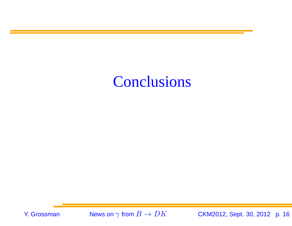### Conclusions

Y. Grossman

n  $\gamma$  from  $B\to$